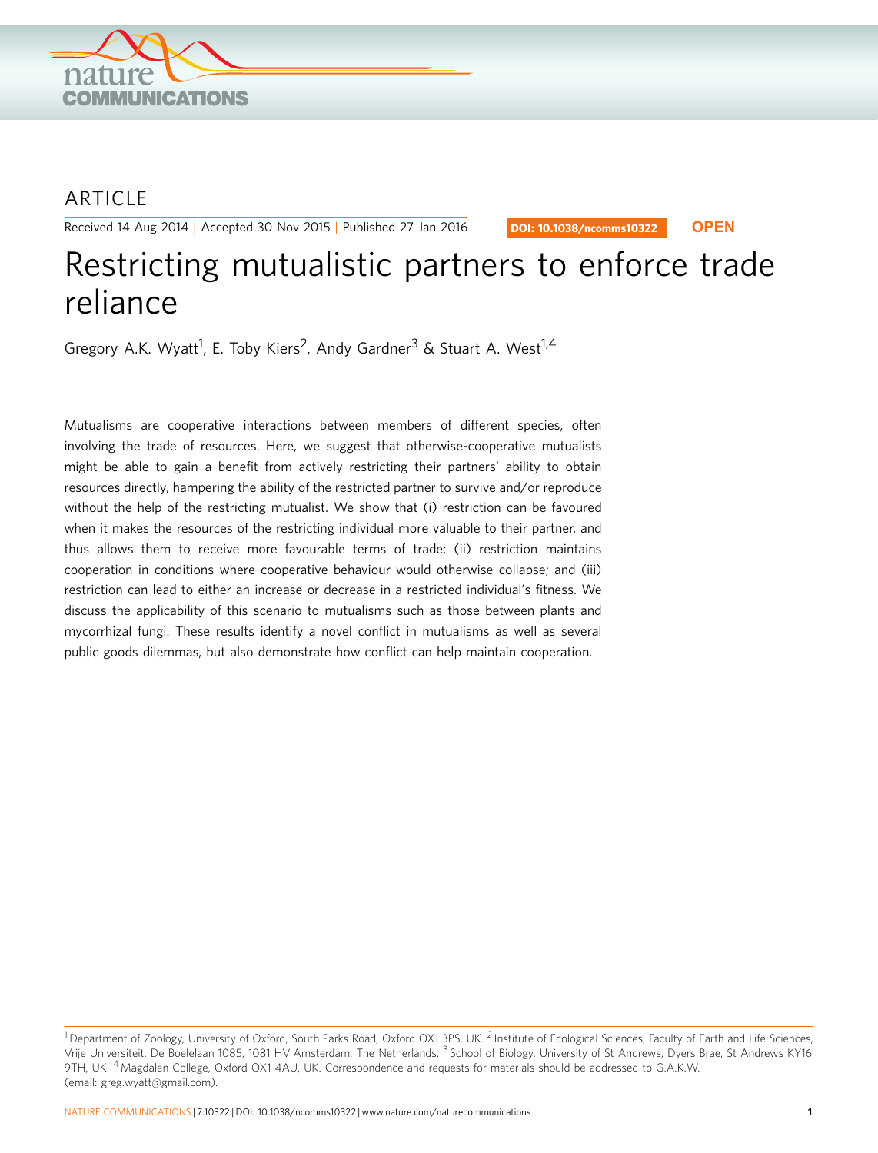

## ARTICLE

Received 14 Aug 2014 | Accepted 30 Nov 2015 | Published 27 Jan 2016

DOI: 10.1038/ncomms10322 **OPEN**

# Restricting mutualistic partners to enforce trade reliance

Gregory A.K. Wyatt<sup>1</sup>, E. Toby Kiers<sup>2</sup>, Andy Gardner<sup>3</sup> & Stuart A. West<sup>1,4</sup>

Mutualisms are cooperative interactions between members of different species, often involving the trade of resources. Here, we suggest that otherwise-cooperative mutualists might be able to gain a benefit from actively restricting their partners' ability to obtain resources directly, hampering the ability of the restricted partner to survive and/or reproduce without the help of the restricting mutualist. We show that (i) restriction can be favoured when it makes the resources of the restricting individual more valuable to their partner, and thus allows them to receive more favourable terms of trade; (ii) restriction maintains cooperation in conditions where cooperative behaviour would otherwise collapse; and (iii) restriction can lead to either an increase or decrease in a restricted individual's fitness. We discuss the applicability of this scenario to mutualisms such as those between plants and mycorrhizal fungi. These results identify a novel conflict in mutualisms as well as several public goods dilemmas, but also demonstrate how conflict can help maintain cooperation.

 $1$ Department of Zoology, University of Oxford, South Parks Road, Oxford OX1 3PS, UK.  $2$  Institute of Ecological Sciences, Faculty of Earth and Life Sciences, Vrije Universiteit, De Boelelaan 1085, 1081 HV Amsterdam, The Netherlands. <sup>3</sup> School of Biology, University of St Andrews, Dyers Brae, St Andrews KY16 9TH, UK. <sup>4</sup> Magdalen College, Oxford OX1 4AU, UK. Correspondence and requests for materials should be addressed to G.A.K.W. (email: [greg.wyatt@gmail.com](mailto:greg.wyatt@gmail.com)).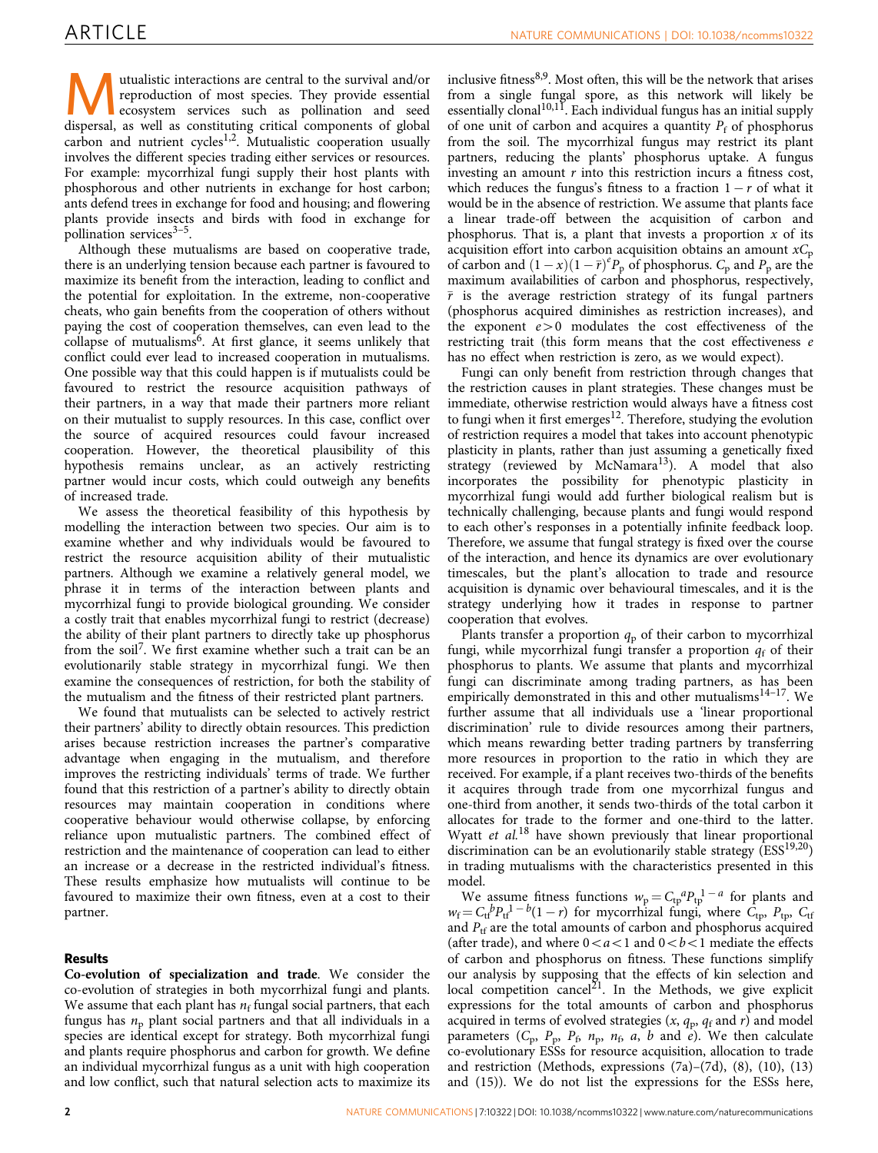Mutualistic interactions are central to the survival and/or<br>
ecosystem services such as pollination and seed<br>
dispersed as well as constituting critical components of global reproduction of most species. They provide essential dispersal, as well as constituting critical components of global carbon and nutrient cycles<sup>[1,2](#page-5-0)</sup>. Mutualistic cooperation usually involves the different species trading either services or resources. For example: mycorrhizal fungi supply their host plants with phosphorous and other nutrients in exchange for host carbon; ants defend trees in exchange for food and housing; and flowering plants provide insects and birds with food in exchange for pollination services $3-5$ .

Although these mutualisms are based on cooperative trade, there is an underlying tension because each partner is favoured to maximize its benefit from the interaction, leading to conflict and the potential for exploitation. In the extreme, non-cooperative cheats, who gain benefits from the cooperation of others without paying the cost of cooperation themselves, can even lead to the collapse of mutualisms<sup>[6](#page-5-0)</sup>. At first glance, it seems unlikely that conflict could ever lead to increased cooperation in mutualisms. One possible way that this could happen is if mutualists could be favoured to restrict the resource acquisition pathways of their partners, in a way that made their partners more reliant on their mutualist to supply resources. In this case, conflict over the source of acquired resources could favour increased cooperation. However, the theoretical plausibility of this hypothesis remains unclear, as an actively restricting partner would incur costs, which could outweigh any benefits of increased trade.

We assess the theoretical feasibility of this hypothesis by modelling the interaction between two species. Our aim is to examine whether and why individuals would be favoured to restrict the resource acquisition ability of their mutualistic partners. Although we examine a relatively general model, we phrase it in terms of the interaction between plants and mycorrhizal fungi to provide biological grounding. We consider a costly trait that enables mycorrhizal fungi to restrict (decrease) the ability of their plant partners to directly take up phosphorus from the soil<sup>[7](#page-5-0)</sup>. We first examine whether such a trait can be an evolutionarily stable strategy in mycorrhizal fungi. We then examine the consequences of restriction, for both the stability of the mutualism and the fitness of their restricted plant partners.

We found that mutualists can be selected to actively restrict their partners' ability to directly obtain resources. This prediction arises because restriction increases the partner's comparative advantage when engaging in the mutualism, and therefore improves the restricting individuals' terms of trade. We further found that this restriction of a partner's ability to directly obtain resources may maintain cooperation in conditions where cooperative behaviour would otherwise collapse, by enforcing reliance upon mutualistic partners. The combined effect of restriction and the maintenance of cooperation can lead to either an increase or a decrease in the restricted individual's fitness. These results emphasize how mutualists will continue to be favoured to maximize their own fitness, even at a cost to their partner.

### Results

Co-evolution of specialization and trade. We consider the co-evolution of strategies in both mycorrhizal fungi and plants. We assume that each plant has  $n_f$  fungal social partners, that each fungus has  $n_p$  plant social partners and that all individuals in a species are identical except for strategy. Both mycorrhizal fungi and plants require phosphorus and carbon for growth. We define an individual mycorrhizal fungus as a unit with high cooperation and low conflict, such that natural selection acts to maximize its inclusive fitness $8,9$ . Most often, this will be the network that arises from a single fungal spore, as this network will likely be essentially  $\text{clonal}^{10,11}$  $\text{clonal}^{10,11}$  $\text{clonal}^{10,11}$ . Each individual fungus has an initial supply of one unit of carbon and acquires a quantity  $P_f$  of phosphorus from the soil. The mycorrhizal fungus may restrict its plant partners, reducing the plants' phosphorus uptake. A fungus investing an amount  $r$  into this restriction incurs a fitness cost, which reduces the fungus's fitness to a fraction  $1 - r$  of what it would be in the absence of restriction. We assume that plants face a linear trade-off between the acquisition of carbon and phosphorus. That is, a plant that invests a proportion  $x$  of its acquisition effort into carbon acquisition obtains an amount  $xC_p$ of carbon and  $(1-x)(1-\bar{r})^e P_p$  of phosphorus.  $C_p$  and  $P_p$  are the maximum availabilities of carbon and phosphorus, respectively,  $\bar{r}$  is the average restriction strategy of its fungal partners (phosphorus acquired diminishes as restriction increases), and the exponent  $e>0$  modulates the cost effectiveness of the restricting trait (this form means that the cost effectiveness e has no effect when restriction is zero, as we would expect).

Fungi can only benefit from restriction through changes that the restriction causes in plant strategies. These changes must be immediate, otherwise restriction would always have a fitness cost to fungi when it first emerges $12$ . Therefore, studying the evolution of restriction requires a model that takes into account phenotypic plasticity in plants, rather than just assuming a genetically fixed strategy (reviewed by McNamara<sup>13</sup>). A model that also incorporates the possibility for phenotypic plasticity in mycorrhizal fungi would add further biological realism but is technically challenging, because plants and fungi would respond to each other's responses in a potentially infinite feedback loop. Therefore, we assume that fungal strategy is fixed over the course of the interaction, and hence its dynamics are over evolutionary timescales, but the plant's allocation to trade and resource acquisition is dynamic over behavioural timescales, and it is the strategy underlying how it trades in response to partner cooperation that evolves.

Plants transfer a proportion  $q_p$  of their carbon to mycorrhizal fungi, while mycorrhizal fungi transfer a proportion  $q_f$  of their phosphorus to plants. We assume that plants and mycorrhizal fungi can discriminate among trading partners, as has been empirically demonstrated in this and other mutualisms<sup>14-17</sup>. We further assume that all individuals use a 'linear proportional discrimination' rule to divide resources among their partners, which means rewarding better trading partners by transferring more resources in proportion to the ratio in which they are received. For example, if a plant receives two-thirds of the benefits it acquires through trade from one mycorrhizal fungus and one-third from another, it sends two-thirds of the total carbon it allocates for trade to the former and one-third to the latter. Wyatt et al.<sup>[18](#page-6-0)</sup> have shown previously that linear proportional discrimination can be an evolutionarily stable strategy  $(ESS^{19,20})$  $(ESS^{19,20})$  $(ESS^{19,20})$ in trading mutualisms with the characteristics presented in this model.

We assume fitness functions  $w_p = C_{tp}^a P_{tp}^{-1-a}$  for plants and  $w_f = C_{tf}^b P_{tf}^{1-b}(1-r)$  for mycorrhizal fungi, where  $C_{tp}$ ,  $P_{tp}$ ,  $C_{tf}$ and  $P_{\text{tf}}$  are the total amounts of carbon and phosphorus acquired (after trade), and where  $0 < a < 1$  and  $0 < b < 1$  mediate the effects of carbon and phosphorus on fitness. These functions simplify our analysis by supposing that the effects of kin selection and local competition cancel<sup>21</sup>. In the Methods, we give explicit expressions for the total amounts of carbon and phosphorus acquired in terms of evolved strategies  $(x, q_p, q_f \text{ and } r)$  and model parameters  $(C_p, P_p, P_f, n_p, n_f, a, b$  and e). We then calculate co-evolutionary ESSs for resource acquisition, allocation to trade and restriction (Methods, expressions  $(7a)-(7d)$ ,  $(8)$ ,  $(10)$ ,  $(13)$ and (15)). We do not list the expressions for the ESSs here,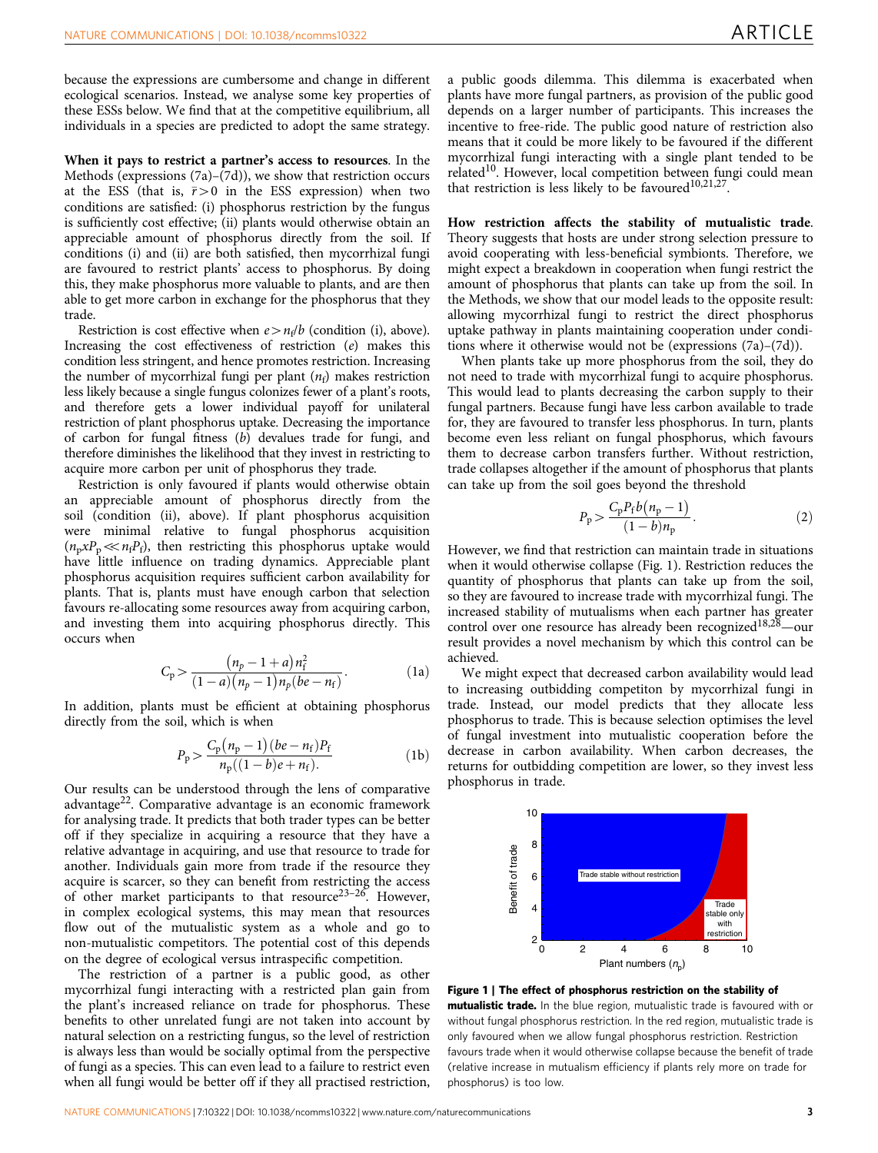because the expressions are cumbersome and change in different ecological scenarios. Instead, we analyse some key properties of these ESSs below. We find that at the competitive equilibrium, all individuals in a species are predicted to adopt the same strategy.

When it pays to restrict a partner's access to resources. In the Methods (expressions (7a)–(7d)), we show that restriction occurs at the ESS (that is,  $\bar{r} > 0$  in the ESS expression) when two conditions are satisfied: (i) phosphorus restriction by the fungus is sufficiently cost effective; (ii) plants would otherwise obtain an appreciable amount of phosphorus directly from the soil. If conditions (i) and (ii) are both satisfied, then mycorrhizal fungi are favoured to restrict plants' access to phosphorus. By doing this, they make phosphorus more valuable to plants, and are then able to get more carbon in exchange for the phosphorus that they trade.

Restriction is cost effective when  $e > n_f/b$  (condition (i), above). Increasing the cost effectiveness of restriction (e) makes this condition less stringent, and hence promotes restriction. Increasing the number of mycorrhizal fungi per plant  $(n_f)$  makes restriction less likely because a single fungus colonizes fewer of a plant's roots, and therefore gets a lower individual payoff for unilateral restriction of plant phosphorus uptake. Decreasing the importance of carbon for fungal fitness (b) devalues trade for fungi, and therefore diminishes the likelihood that they invest in restricting to acquire more carbon per unit of phosphorus they trade.

Restriction is only favoured if plants would otherwise obtain an appreciable amount of phosphorus directly from the soil (condition (ii), above). If plant phosphorus acquisition were minimal relative to fungal phosphorus acquisition  $(n_p x P_p \ll n_f P_f)$ , then restricting this phosphorus uptake would have little influence on trading dynamics. Appreciable plant phosphorus acquisition requires sufficient carbon availability for plants. That is, plants must have enough carbon that selection favours re-allocating some resources away from acquiring carbon, and investing them into acquiring phosphorus directly. This occurs when

$$
C_{p} > \frac{(n_p - 1 + a)n_f^2}{(1 - a)(n_p - 1)n_p(bc - n_f)}.
$$
 (1a)

In addition, plants must be efficient at obtaining phosphorus directly from the soil, which is when

$$
P_{\rm p} > \frac{C_{\rm p}(n_{\rm p}-1)(be - n_{\rm f})P_{\rm f}}{n_{\rm p}((1-b)e + n_{\rm f}).} \tag{1b}
$$

Our results can be understood through the lens of comparative advantage<sup>22</sup>. Comparative advantage is an economic framework for analysing trade. It predicts that both trader types can be better off if they specialize in acquiring a resource that they have a relative advantage in acquiring, and use that resource to trade for another. Individuals gain more from trade if the resource they acquire is scarcer, so they can benefit from restricting the access of other market participants to that resource<sup>23-26</sup>. However, in complex ecological systems, this may mean that resources flow out of the mutualistic system as a whole and go to non-mutualistic competitors. The potential cost of this depends on the degree of ecological versus intraspecific competition.

The restriction of a partner is a public good, as other mycorrhizal fungi interacting with a restricted plan gain from the plant's increased reliance on trade for phosphorus. These benefits to other unrelated fungi are not taken into account by natural selection on a restricting fungus, so the level of restriction is always less than would be socially optimal from the perspective of fungi as a species. This can even lead to a failure to restrict even when all fungi would be better off if they all practised restriction,

a public goods dilemma. This dilemma is exacerbated when plants have more fungal partners, as provision of the public good depends on a larger number of participants. This increases the incentive to free-ride. The public good nature of restriction also means that it could be more likely to be favoured if the different mycorrhizal fungi interacting with a single plant tended to be related<sup>10</sup>. However, local competition between fungi could mean that restriction is less likely to be favoured<sup>[10,21,27](#page-6-0)</sup>.

How restriction affects the stability of mutualistic trade. Theory suggests that hosts are under strong selection pressure to avoid cooperating with less-beneficial symbionts. Therefore, we might expect a breakdown in cooperation when fungi restrict the amount of phosphorus that plants can take up from the soil. In the Methods, we show that our model leads to the opposite result: allowing mycorrhizal fungi to restrict the direct phosphorus uptake pathway in plants maintaining cooperation under conditions where it otherwise would not be (expressions (7a)–(7d)).

When plants take up more phosphorus from the soil, they do not need to trade with mycorrhizal fungi to acquire phosphorus. This would lead to plants decreasing the carbon supply to their fungal partners. Because fungi have less carbon available to trade for, they are favoured to transfer less phosphorus. In turn, plants become even less reliant on fungal phosphorus, which favours them to decrease carbon transfers further. Without restriction, trade collapses altogether if the amount of phosphorus that plants can take up from the soil goes beyond the threshold

$$
P_{\rm p} > \frac{C_{\rm p} P_{\rm f} b \left( n_{\rm p} - 1 \right)}{\left( 1 - b \right) n_{\rm p}}. \tag{2}
$$

However, we find that restriction can maintain trade in situations when it would otherwise collapse (Fig. 1). Restriction reduces the quantity of phosphorus that plants can take up from the soil, so they are favoured to increase trade with mycorrhizal fungi. The increased stability of mutualisms when each partner has greater control over one resource has already been recognized<sup>18,28</sup>-our result provides a novel mechanism by which this control can be achieved.

We might expect that decreased carbon availability would lead to increasing outbidding competiton by mycorrhizal fungi in trade. Instead, our model predicts that they allocate less phosphorus to trade. This is because selection optimises the level of fungal investment into mutualistic cooperation before the decrease in carbon availability. When carbon decreases, the returns for outbidding competition are lower, so they invest less phosphorus in trade.



Figure 1 | The effect of phosphorus restriction on the stability of mutualistic trade. In the blue region, mutualistic trade is favoured with or without fungal phosphorus restriction. In the red region, mutualistic trade is only favoured when we allow fungal phosphorus restriction. Restriction favours trade when it would otherwise collapse because the benefit of trade (relative increase in mutualism efficiency if plants rely more on trade for phosphorus) is too low.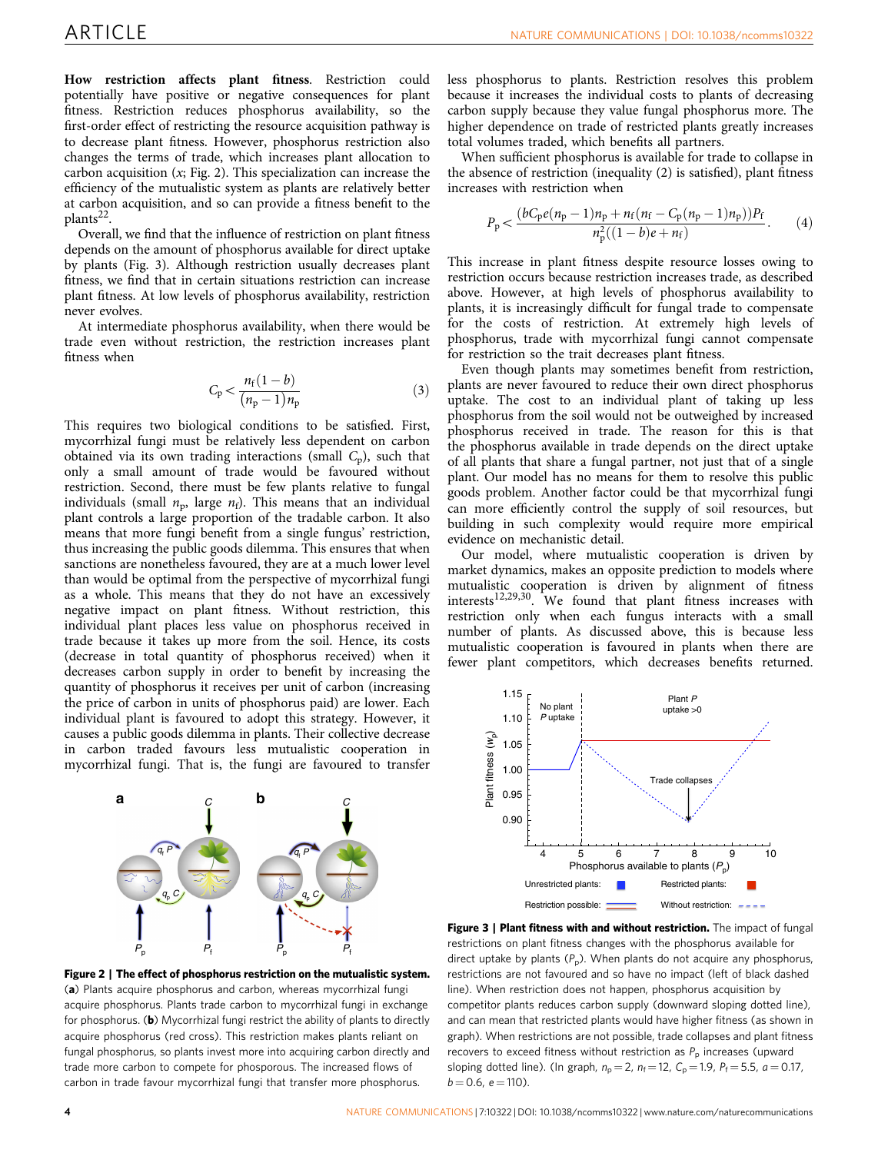How restriction affects plant fitness. Restriction could potentially have positive or negative consequences for plant fitness. Restriction reduces phosphorus availability, so the first-order effect of restricting the resource acquisition pathway is to decrease plant fitness. However, phosphorus restriction also changes the terms of trade, which increases plant allocation to carbon acquisition  $(x; Fig. 2)$ . This specialization can increase the efficiency of the mutualistic system as plants are relatively better at carbon acquisition, and so can provide a fitness benefit to the plant[s22.](#page-6-0)

Overall, we find that the influence of restriction on plant fitness depends on the amount of phosphorus available for direct uptake by plants (Fig. 3). Although restriction usually decreases plant fitness, we find that in certain situations restriction can increase plant fitness. At low levels of phosphorus availability, restriction never evolves.

At intermediate phosphorus availability, when there would be trade even without restriction, the restriction increases plant fitness when

$$
C_{\rm p} < \frac{n_{\rm f}(1-b)}{(n_{\rm p}-1)n_{\rm p}}\tag{3}
$$

This requires two biological conditions to be satisfied. First, mycorrhizal fungi must be relatively less dependent on carbon obtained via its own trading interactions (small  $C_p$ ), such that only a small amount of trade would be favoured without restriction. Second, there must be few plants relative to fungal individuals (small  $n_p$ , large  $n_f$ ). This means that an individual plant controls a large proportion of the tradable carbon. It also means that more fungi benefit from a single fungus' restriction, thus increasing the public goods dilemma. This ensures that when sanctions are nonetheless favoured, they are at a much lower level than would be optimal from the perspective of mycorrhizal fungi as a whole. This means that they do not have an excessively negative impact on plant fitness. Without restriction, this individual plant places less value on phosphorus received in trade because it takes up more from the soil. Hence, its costs (decrease in total quantity of phosphorus received) when it decreases carbon supply in order to benefit by increasing the quantity of phosphorus it receives per unit of carbon (increasing the price of carbon in units of phosphorus paid) are lower. Each individual plant is favoured to adopt this strategy. However, it causes a public goods dilemma in plants. Their collective decrease in carbon traded favours less mutualistic cooperation in mycorrhizal fungi. That is, the fungi are favoured to transfer



Figure 2 | The effect of phosphorus restriction on the mutualistic system. (a) Plants acquire phosphorus and carbon, whereas mycorrhizal fungi acquire phosphorus. Plants trade carbon to mycorrhizal fungi in exchange for phosphorus. (b) Mycorrhizal fungi restrict the ability of plants to directly acquire phosphorus (red cross). This restriction makes plants reliant on fungal phosphorus, so plants invest more into acquiring carbon directly and trade more carbon to compete for phosporous. The increased flows of carbon in trade favour mycorrhizal fungi that transfer more phosphorus.

less phosphorus to plants. Restriction resolves this problem because it increases the individual costs to plants of decreasing carbon supply because they value fungal phosphorus more. The higher dependence on trade of restricted plants greatly increases total volumes traded, which benefits all partners.

When sufficient phosphorus is available for trade to collapse in the absence of restriction (inequality (2) is satisfied), plant fitness increases with restriction when

$$
P_{\rm p} < \frac{(bC_{\rm p}e(n_{\rm p}-1)n_{\rm p} + n_{\rm f}(n_{\rm f}-C_{\rm p}(n_{\rm p}-1)n_{\rm p}))P_{\rm f}}{n_{\rm p}^2((1-b)e+n_{\rm f})}.\tag{4}
$$

This increase in plant fitness despite resource losses owing to restriction occurs because restriction increases trade, as described above. However, at high levels of phosphorus availability to plants, it is increasingly difficult for fungal trade to compensate for the costs of restriction. At extremely high levels of phosphorus, trade with mycorrhizal fungi cannot compensate for restriction so the trait decreases plant fitness.

Even though plants may sometimes benefit from restriction, plants are never favoured to reduce their own direct phosphorus uptake. The cost to an individual plant of taking up less phosphorus from the soil would not be outweighed by increased phosphorus received in trade. The reason for this is that the phosphorus available in trade depends on the direct uptake of all plants that share a fungal partner, not just that of a single plant. Our model has no means for them to resolve this public goods problem. Another factor could be that mycorrhizal fungi can more efficiently control the supply of soil resources, but building in such complexity would require more empirical evidence on mechanistic detail.

Our model, where mutualistic cooperation is driven by market dynamics, makes an opposite prediction to models where mutualistic cooperation is driven by alignment of fitness interests<sup>[12,29,30](#page-6-0)</sup>. We found that plant fitness increases with restriction only when each fungus interacts with a small number of plants. As discussed above, this is because less mutualistic cooperation is favoured in plants when there are fewer plant competitors, which decreases benefits returned.



Figure 3 | Plant fitness with and without restriction. The impact of fungal restrictions on plant fitness changes with the phosphorus available for direct uptake by plants  $(P_p)$ . When plants do not acquire any phosphorus, restrictions are not favoured and so have no impact (left of black dashed line). When restriction does not happen, phosphorus acquisition by competitor plants reduces carbon supply (downward sloping dotted line), and can mean that restricted plants would have higher fitness (as shown in graph). When restrictions are not possible, trade collapses and plant fitness recovers to exceed fitness without restriction as  $P_p$  increases (upward sloping dotted line). (In graph,  $n_p = 2$ ,  $n_f = 12$ ,  $C_p = 1.9$ ,  $P_f = 5.5$ ,  $a = 0.17$ ,  $b = 0.6$ ,  $e = 110$ ).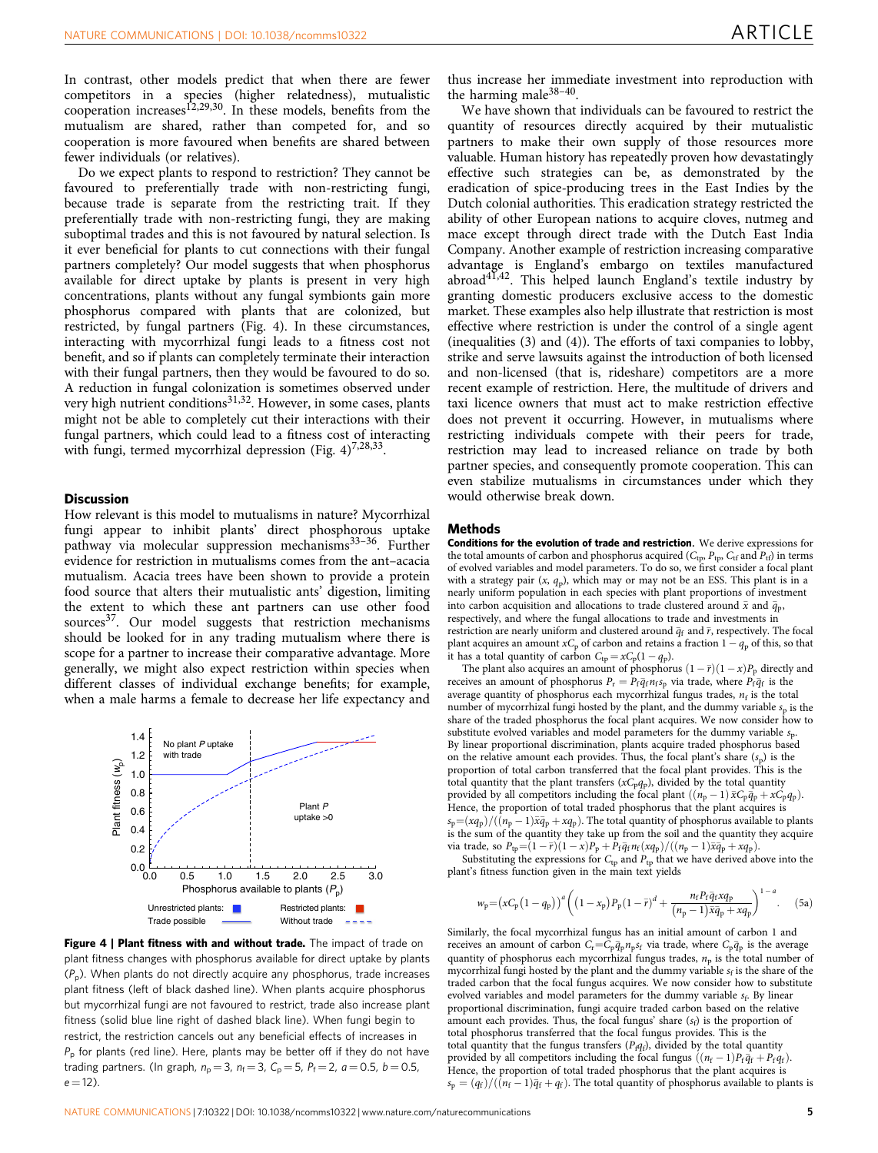In contrast, other models predict that when there are fewer competitors in a species (higher relatedness), mutualistic cooperation increases<sup>[12,29,30](#page-6-0)</sup>. In these models, benefits from the mutualism are shared, rather than competed for, and so cooperation is more favoured when benefits are shared between fewer individuals (or relatives).

Do we expect plants to respond to restriction? They cannot be favoured to preferentially trade with non-restricting fungi, because trade is separate from the restricting trait. If they preferentially trade with non-restricting fungi, they are making suboptimal trades and this is not favoured by natural selection. Is it ever beneficial for plants to cut connections with their fungal partners completely? Our model suggests that when phosphorus available for direct uptake by plants is present in very high concentrations, plants without any fungal symbionts gain more phosphorus compared with plants that are colonized, but restricted, by fungal partners (Fig. 4). In these circumstances, interacting with mycorrhizal fungi leads to a fitness cost not benefit, and so if plants can completely terminate their interaction with their fungal partners, then they would be favoured to do so. A reduction in fungal colonization is sometimes observed under very high nutrient conditions<sup>[31,32](#page-6-0)</sup>. However, in some cases, plants might not be able to completely cut their interactions with their fungal partners, which could lead to a fitness cost of interacting with fungi, termed mycorrhizal depression (Fig.  $4)^{7,28,33}$ .

### **Discussion**

How relevant is this model to mutualisms in nature? Mycorrhizal fungi appear to inhibit plants' direct phosphorous uptake pathway via molecular suppression mechanisms<sup>33-36</sup>. Further evidence for restriction in mutualisms comes from the ant–acacia mutualism. Acacia trees have been shown to provide a protein food source that alters their mutualistic ants' digestion, limiting the extent to which these ant partners can use other food sources<sup>37</sup>. Our model suggests that restriction mechanisms should be looked for in any trading mutualism where there is scope for a partner to increase their comparative advantage. More generally, we might also expect restriction within species when different classes of individual exchange benefits; for example, when a male harms a female to decrease her life expectancy and



Figure 4 | Plant fitness with and without trade. The impact of trade on plant fitness changes with phosphorus available for direct uptake by plants  $(P<sub>p</sub>)$ . When plants do not directly acquire any phosphorus, trade increases plant fitness (left of black dashed line). When plants acquire phosphorus but mycorrhizal fungi are not favoured to restrict, trade also increase plant fitness (solid blue line right of dashed black line). When fungi begin to restrict, the restriction cancels out any beneficial effects of increases in  $P_p$  for plants (red line). Here, plants may be better off if they do not have trading partners. (In graph,  $n_{p} = 3$ ,  $n_{f} = 3$ ,  $C_{p} = 5$ ,  $P_{f} = 2$ ,  $a = 0.5$ ,  $b = 0.5$ ,  $e = 12$ ).

thus increase her immediate investment into reproduction with the harming male $38-40$ .

We have shown that individuals can be favoured to restrict the quantity of resources directly acquired by their mutualistic partners to make their own supply of those resources more valuable. Human history has repeatedly proven how devastatingly effective such strategies can be, as demonstrated by the eradication of spice-producing trees in the East Indies by the Dutch colonial authorities. This eradication strategy restricted the ability of other European nations to acquire cloves, nutmeg and mace except through direct trade with the Dutch East India Company. Another example of restriction increasing comparative advantage is England's embargo on textiles manufactured abroad<sup>41,42</sup>. This helped launch England's textile industry by granting domestic producers exclusive access to the domestic market. These examples also help illustrate that restriction is most effective where restriction is under the control of a single agent (inequalities (3) and (4)). The efforts of taxi companies to lobby, strike and serve lawsuits against the introduction of both licensed and non-licensed (that is, rideshare) competitors are a more recent example of restriction. Here, the multitude of drivers and taxi licence owners that must act to make restriction effective does not prevent it occurring. However, in mutualisms where restricting individuals compete with their peers for trade, restriction may lead to increased reliance on trade by both partner species, and consequently promote cooperation. This can even stabilize mutualisms in circumstances under which they would otherwise break down.

### Methods

Conditions for the evolution of trade and restriction. We derive expressions for the total amounts of carbon and phosphorus acquired ( $C_{tp}$ ,  $P_{tp}$ ,  $C_{tf}$  and  $P_{tf}$ ) in terms of evolved variables and model parameters. To do so, we first consider a focal plant with a strategy pair  $(x, q_p)$ , which may or may not be an ESS. This plant is in a nearly uniform population in each species with plant proportions of investment into carbon acquisition and allocations to trade clustered around  $\bar{x}$  and  $\bar{q}_p$ , respectively, and where the fungal allocations to trade and investments in restriction are nearly uniform and clustered around  $\bar{q}_f$  and  $\bar{r}$ , respectively. The focal plant acquires an amount  $xC_p$  of carbon and retains a fraction  $1 - q_p$  of this, so that it has a total quantity of carbon  $C_{tp} = xC_p(1 - q_p)$ .

The plant also acquires an amount of phosphorus  $(1 - \bar{r})(1 - x)P_p$  directly and receives an amount of phosphorus  $P_r = P_f \overline{q}_f n_f s_p$  via trade, where  $P_f \overline{q}_f$  is the average quantity of phosphorus each mycorrhizal fungus trades,  $n_f$  is the total number of mycorrhizal fungi hosted by the plant, and the dummy variable  $s_p$  is the share of the traded phosphorus the focal plant acquires. We now consider how to substitute evolved variables and model parameters for the dummy variable  $s_p$ . By linear proportional discrimination, plants acquire traded phosphorus based on the relative amount each provides. Thus, the focal plant's share  $(s_p)$  is the proportion of total carbon transferred that the focal plant provides. This is the total quantity that the plant transfers  $(xC_pq_p)$ , divided by the total quantity provided by all competitors including the focal plant  $((n_p - 1)\bar{x}C_p\bar{q}_p + xC_pq_p)$ . Hence, the proportion of total traded phosphorus that the plant acquires is  $s_p = (xq_p) / ((n_p - 1)\overline{x}\overline{q}_p + xq_p)$ . The total quantity of phosphorus available to plants is the sum of the quantity they take up from the soil and the quantity they acquire via trade, so  $P_{tp} = (1 - \bar{r})(1 - x)P_p + P_f \bar{q}_f n_f (xq_p) / ((n_p - 1)\bar{x}\bar{q}_p + xq_p)$ .

Substituting the expressions for  $C_{tp}$  and  $P_{tp}$  that we have derived above into the plant's fitness function given in the main text yields

$$
w_{p} = (xC_{p}(1-q_{p}))^{a} \left( (1-x_{p})P_{p}(1-\bar{r})^{d} + \frac{n_{f}P_{f}\bar{q}_{f}xq_{p}}{(n_{p}-1)\bar{x}\bar{q}_{p} + xq_{p}} \right)^{1-a}.
$$
 (5a)

Similarly, the focal mycorrhizal fungus has an initial amount of carbon 1 and receives an amount of carbon  $C_r = C_p \bar{q}_p n_p s_f$  via trade, where  $C_p \bar{q}_p$  is the average quantity of phosphorus each mycorrhizal fungus trades,  $n<sub>p</sub>$  is the total number of mycorrhizal fungi hosted by the plant and the dummy variable  $s_f$  is the share of the traded carbon that the focal fungus acquires. We now consider how to substitute evolved variables and model parameters for the dummy variable  $s_f$ . By linear proportional discrimination, fungi acquire traded carbon based on the relative amount each provides. Thus, the focal fungus' share  $(s_f)$  is the proportion of total phosphorus transferred that the focal fungus provides. This is the total quantity that the fungus transfers  $(P_f q_f)$ , divided by the total quantity provided by all competitors including the focal fungus  $((n_f - 1)P_f\bar{q}_f + P_fq_f)$ . Hence, the proportion of total traded phosphorus that the plant acquires is  $s_p = (q_f) / ((n_f - 1)\bar{q}_f + q_f)$ . The total quantity of phosphorus available to plants is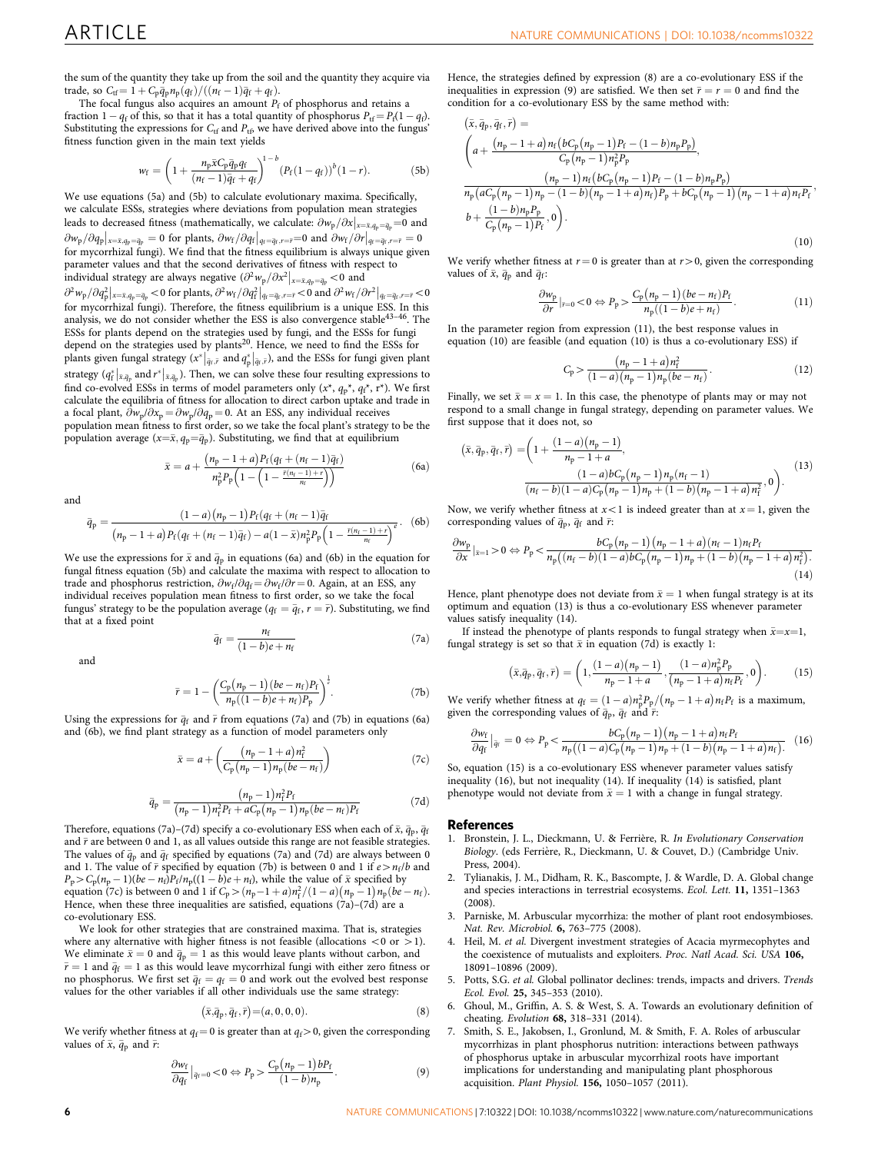<span id="page-5-0"></span>the sum of the quantity they take up from the soil and the quantity they acquire via trade, so  $C_{\text{tf}} = 1 + C_{\text{p}} \bar{q}_{\text{p}} n_{\text{p}} (q_{\text{f}}) / ((n_{\text{f}} - 1) \bar{q}_{\text{f}} + q_{\text{f}}).$ 

The focal fungus also acquires an amount  $P_f$  of phosphorus and retains a fraction  $1 - q_f$  of this, so that it has a total quantity of phosphorus  $P_{\text{tf}} = P_{\text{f}}(1 - q_{\text{f}})$ . Substituting the expressions for  $C_{\text{tf}}$  and  $P_{\text{tf}}$ , we have derived above into the fungus' fitness function given in the main text yields

$$
w_{\rm f} = \left(1 + \frac{n_{\rm p}\bar{x}C_{\rm p}\bar{q}_{\rm p}q_{\rm f}}{(n_{\rm f}-1)\bar{q}_{\rm f}+q_{\rm f}}\right)^{1-b} (P_{\rm f}(1-q_{\rm f}))^{b}(1-r). \tag{5b}
$$

We use equations (5a) and (5b) to calculate evolutionary maxima. Specifically, we calculate ESSs, strategies where deviations from population mean strategies leads to decreased fitness (mathematically, we calculate:  $\frac{\partial w_p}{\partial x}\Big|_{x=\bar{x},q_p=\bar{q}_p}=0$  and  $\frac{\partial w_p}{\partial q_p}\Big|_{x=\bar{x},q_p=\bar{q}_p} = 0$  for plants,  $\frac{\partial w_f}{\partial q_f}\Big|_{q_f=\bar{q}_f, r=\bar{r}} = 0$  and  $\frac{\partial w_f}{\partial r}\Big|_{q_f=\bar{q}_f, r=\bar{r}} = 0$ for mycorrhizal fungi). We find that the fitness equilibrium is always unique given parameter values and that the second derivatives of fitness with respect to individual strategy are always negative  $\left(\frac{\partial^2 w_p}{\partial x^2}\right)_{x=\bar{x},q_p=\bar{q}_p}$  < 0 and  $\frac{\partial^2 w_p}{\partial q_p^2}\Big|_{x=\bar{x},q_p=\bar{q}_p} < 0$  for plants,  $\frac{\partial^2 w_f}{\partial q_f^2}\Big|_{q_f=\bar{q}_f, r=\bar{r}} < 0$  and  $\frac{\partial^2 w_f}{\partial r^2}\Big|_{q_f=\bar{q}_f, r=\bar{r}} < 0$ for mycorrhizal fungi). Therefore, the fitness equilibrium is a unique ESS. In this analysis, we do not consider whether the ESS is also convergence stable[43–46.](#page-6-0) The ESSs for plants depend on the strategies used by fungi, and the ESSs for fungi<br>depend on the strategies used by plants<sup>20</sup>. Hence, we need to find the ESSs for plants given fungal strategy  $(x^*|_{\bar{q}_f, \bar{r}})$  and  $q_p^*|_{\bar{q}_f, \bar{r}}$ ), and the ESSs for fungi given plant strategy  $(q_f^*|_{\bar{x},\bar{q}_p}$  and  $r^*|_{\bar{x},\bar{q}_p}$ ). Then, we can solve these four resulting expressions to find co-evolved ESSs in terms of model parameters only  $(x^*, q_p^*, q_f^*, r^*)$ . We first calculate the equilibria of fitness for allocation to direct carbon uptake and trade in a focal plant,  $\partial w_p / \partial x_p = \partial w_p / \partial q_p = 0$ . At an ESS, any individual receives

population mean fitness to first order, so we take the focal plant's strategy to be the population average ( $x{=}\bar{x}, q_{\text{p}}{=}\bar{q}_{\text{p}}$ ). Substituting, we find that at equilibrium

$$
\bar{x} = a + \frac{(n_{\rm p} - 1 + a)P_{\rm f}(q_{\rm f} + (n_{\rm f} - 1)\bar{q}_{\rm f})}{n_{\rm p}^2 P_{\rm p}\left(1 - \left(1 - \frac{\bar{r}(n_{\rm f} - 1) + r}{n_{\rm f}}\right)\right)}
$$
(6a)

and

$$
\bar{q}_{p} = \frac{(1-a)(n_{p}-1)P_{f}(q_{f} + (n_{f}-1)\bar{q}_{f})}{(n_{p}-1+a)P_{f}(q_{f} + (n_{f}-1)\bar{q}_{f}) - a(1-\bar{x})n_{p}^{2}P_{p}\left(1 - \frac{\bar{r}(n_{f}-1) + r}{n_{f}}\right)^{\epsilon}}.
$$
 (6b)

We use the expressions for  $\bar{x}$  and  $\bar{q}_p$  in equations (6a) and (6b) in the equation for fungal fitness equation (5b) and calculate the maxima with respect to allocation to trade and phosphorus restriction,  $\partial w_f / \partial q_f = \partial w_f / \partial r = 0$ . Again, at an ESS, any individual receives population mean fitness to first order, so we take the focal fungus' strategy to be the population average ( $q_{\rm f}=\overline{q}_{\rm f},$   $r=\overline{r}$ ). Substituting, we find that at a fixed point

$$
\bar{q}_{\rm f} = \frac{n_{\rm f}}{(1-b)e + n_{\rm f}}\tag{7a}
$$

and

$$
\bar{r} = 1 - \left(\frac{C_{\rm p}(n_{\rm p}-1)(be-n_{\rm f})P_{\rm f}}{n_{\rm p}((1-b)e+n_{\rm f})P_{\rm p}}\right)^{\frac{1}{c}}.\tag{7b}
$$

Using the expressions for  $\bar{q}_f$  and  $\bar{r}$  from equations (7a) and (7b) in equations (6a) and (6b), we find plant strategy as a function of model parameters only

$$
\bar{x} = a + \left(\frac{(n_{p} - 1 + a)n_{f}^{2}}{C_{p}(n_{p} - 1)n_{p}(be - n_{f})}\right)
$$
(7c)

$$
\bar{q}_{p} = \frac{(n_{p} - 1)n_{f}^{2}P_{f}}{(n_{p} - 1)n_{f}^{2}P_{f} + aC_{p}(n_{p} - 1)n_{p}(be - n_{f})P_{f}}
$$
(7d)

Therefore, equations (7a)–(7d) specify a co-evolutionary ESS when each of  $\bar{x}$ ,  $\bar{q}_p$ ,  $\bar{q}_f$ and  $\bar{r}$  are between 0 and 1, as all values outside this range are not feasible strategies. The values of  $\bar{q}_\text{p}$  and  $\bar{q}_\text{f}$  specified by equations (7a) and (7d) are always between 0 and 1. The value of  $\bar{r}$  specified by equation (7b) is between 0 and 1 if  $e > n_f/b$  and  $P_p > C_p(n_p - 1)(be - n_f)P_f/n_p((1 - b)e + n_f)$ , while the value of  $\bar{x}$  specified by  $\mu_p > c_p(n_p-1)(be-n_f) \mu_p(t_1 - b)e + n_f$ , while the value of x specified by<br>equation (7c) is between 0 and 1 if  $C_p > (n_p-1+a)n_f^2/(1-a)(n_p-1)n_p (be-n_f)$ . Hence, when these three inequalities are satisfied, equations  $(7a)-(7d)$  are a co-evolutionary ESS.

We look for other strategies that are constrained maxima. That is, strategies where any alternative with higher fitness is not feasible (allocations  $<$  0 or  $>$  1). We eliminate  $\bar{x} = 0$  and  $\bar{q}_p = 1$  as this would leave plants without carbon, and  $\bar{r} = 1$  and  $\bar{q}_\text{f} = 1$  as this would leave mycorrhizal fungi with either zero fitness or no phosphorus. We first set  $\bar{q}_f = q_f = 0$  and work out the evolved best response values for the other variables if all other individuals use the same strategy:

$$
(\bar{x}, \bar{q}_p, \bar{q}_f, \bar{r}) = (a, 0, 0, 0). \tag{8}
$$

We verify whether fitness at  $q_f = 0$  is greater than at  $q_f > 0$ , given the corresponding values of  $\bar{x}$ ,  $\bar{q}_p$  and  $\bar{r}$ :

$$
\frac{\partial w_{\rm f}}{\partial q_{\rm f}}\Big|_{\bar{q}_{\rm f}=0} < 0 \Leftrightarrow P_{\rm p} > \frac{C_{\rm p}(n_{\rm p}-1)bP_{\rm f}}{(1-b)n_{\rm p}}.\tag{9}
$$

Hence, the strategies defined by expression (8) are a co-evolutionary ESS if the inequalities in expression (9) are satisfied. We then set  $\bar{r} = r = 0$  and find the condition for a co-evolutionary ESS by the same method with:

$$
(\bar{x}, \bar{q}_p, \bar{q}_f, \bar{r}) =
$$
\n
$$
\left(a + \frac{(n_p - 1 + a)n_f(bC_p(n_p - 1)P_f - (1 - b)n_pP_p)}{C_p(n_p - 1)n_p^2P_p} \right)
$$
\n
$$
\frac{(n_p - 1)n_f(bC_p(n_p - 1)P_f - (1 - b)n_pP_p)}{n_p(aC_p(n_p - 1)n_p - (1 - b)(n_p - 1 + a)n_f)P_p + bC_p(n_p - 1)(n_p - 1 + a)n_fP_f},
$$
\n
$$
b + \frac{(1 - b)n_pP_p}{C_p(n_p - 1)P_f}, 0\right).
$$
\n(10)

We verify whether fitness at  $r = 0$  is greater than at  $r > 0$ , given the corresponding values of  $\bar{x}$ ,  $\bar{q}_p$  and  $\bar{q}_f$ :

$$
\frac{\partial w_p}{\partial r}|_{\bar{r}=0} < 0 \Leftrightarrow P_p > \frac{C_p(n_p-1)(be-n_f)P_f}{n_p((1-b)e+n_f)}.
$$
\n(11)

In the parameter region from expression (11), the best response values in equation (10) are feasible (and equation (10) is thus a co-evolutionary ESS) if

$$
C_{\rm p} > \frac{\left(n_{\rm p} - 1 + a\right) n_{\rm f}^2}{(1 - a)\left(n_{\rm p} - 1\right) n_{\rm p} (b e - n_{\rm f})} \,. \tag{12}
$$

Finally, we set  $\bar{x} = x = 1$ . In this case, the phenotype of plants may or may not respond to a small change in fungal strategy, depending on parameter values. We first suppose that it does not, so

$$
(\bar{x}, \bar{q}_p, \bar{q}_f, \bar{r}) = \left(1 + \frac{(1-a)(n_p - 1)}{n_p - 1 + a}, \frac{(1-a)bC_p(n_p - 1)n_p(n_f - 1)}{(n_f - b)(1 - a)C_p(n_p - 1)n_p + (1 - b)(n_p - 1 + a)n_f^2}, 0\right).
$$
\n(13)

Now, we verify whether fitness at  $x < 1$  is indeed greater than at  $x = 1$ , given the corresponding values of  $\bar{q}_p$ ,  $\bar{q}_f$  and  $\bar{r}$ :

$$
\frac{\partial w_{p}}{\partial x}|_{\bar{x}=1} > 0 \Leftrightarrow P_{p} < \frac{bC_{p}(n_{p}-1)(n_{p}-1+a)(n_{f}-1)n_{f}P_{f}}{n_{p}((n_{f}-b)(1-a)bC_{p}(n_{p}-1)n_{p}+(1-b)(n_{p}-1+a)n_{f}^{2})}.
$$
\n(14)

Hence, plant phenotype does not deviate from  $\bar{x} = 1$  when fungal strategy is at its optimum and equation (13) is thus a co-evolutionary ESS whenever parameter values satisfy inequality (14).

If instead the phenotype of plants responds to fungal strategy when  $\bar{x} = x = 1$ . fungal strategy is set so that  $\bar{x}$  in equation (7d) is exactly 1:

$$
(\bar{x}, \bar{q}_p, \bar{q}_f, \bar{r}) = \left(1, \frac{(1-a)(n_p-1)}{n_p-1+a}, \frac{(1-a)n_p^2 P_p}{(n_p-1+a)n_f P_f}, 0\right). \tag{15}
$$

We verify whether fitness at  $q_f = (1 - a)n_p^2 P_p/(n_p - 1 + a)n_f P_f$  is a maximum, given the corresponding values of  $\bar{q}_p$ ,  $\bar{q}_f$  and  $\bar{r}$ :

$$
\frac{\partial w_{\rm f}}{\partial q_{\rm f}}\big|_{\bar{q}_{\rm f}}=0 \Leftrightarrow P_{\rm p} < \frac{bC_{\rm p}(n_{\rm p}-1)(n_{\rm p}-1+a)n_{\rm f}P_{\rm f}}{n_{\rm p}((1-a)C_{\rm p}(n_{\rm p}-1)n_{\rm p}+(1-b)(n_{\rm p}-1+a)n_{\rm f})}.
$$
 (16)

So, equation (15) is a co-evolutionary ESS whenever parameter values satisfy inequality (16), but not inequality (14). If inequality (14) is satisfied, plant phenotype would not deviate from  $\bar{x} = 1$  with a change in fungal strategy.

### **References**

- 1. Bronstein, J. L., Dieckmann, U. & Ferrière, R. In Evolutionary Conservation Biology. (eds Ferrière, R., Dieckmann, U. & Couvet, D.) (Cambridge Univ. Press, 2004).
- 2. Tylianakis, J. M., Didham, R. K., Bascompte, J. & Wardle, D. A. Global change and species interactions in terrestrial ecosystems. Ecol. Lett. 11, 1351–1363 (2008).
- 3. Parniske, M. Arbuscular mycorrhiza: the mother of plant root endosymbioses. Nat. Rev. Microbiol. 6, 763–775 (2008).
- 4. Heil, M. et al. Divergent investment strategies of Acacia myrmecophytes and the coexistence of mutualists and exploiters. Proc. Natl Acad. Sci. USA 106, 18091–10896 (2009).
- 5. Potts, S.G. et al. Global pollinator declines: trends, impacts and drivers. Trends Ecol. Evol. 25, 345–353 (2010).
- 6. Ghoul, M., Griffin, A. S. & West, S. A. Towards an evolutionary definition of cheating. Evolution 68, 318–331 (2014).
- 7. Smith, S. E., Jakobsen, I., Gronlund, M. & Smith, F. A. Roles of arbuscular mycorrhizas in plant phosphorus nutrition: interactions between pathways of phosphorus uptake in arbuscular mycorrhizal roots have important implications for understanding and manipulating plant phosphorous acquisition. Plant Physiol. 156, 1050-1057 (2011).